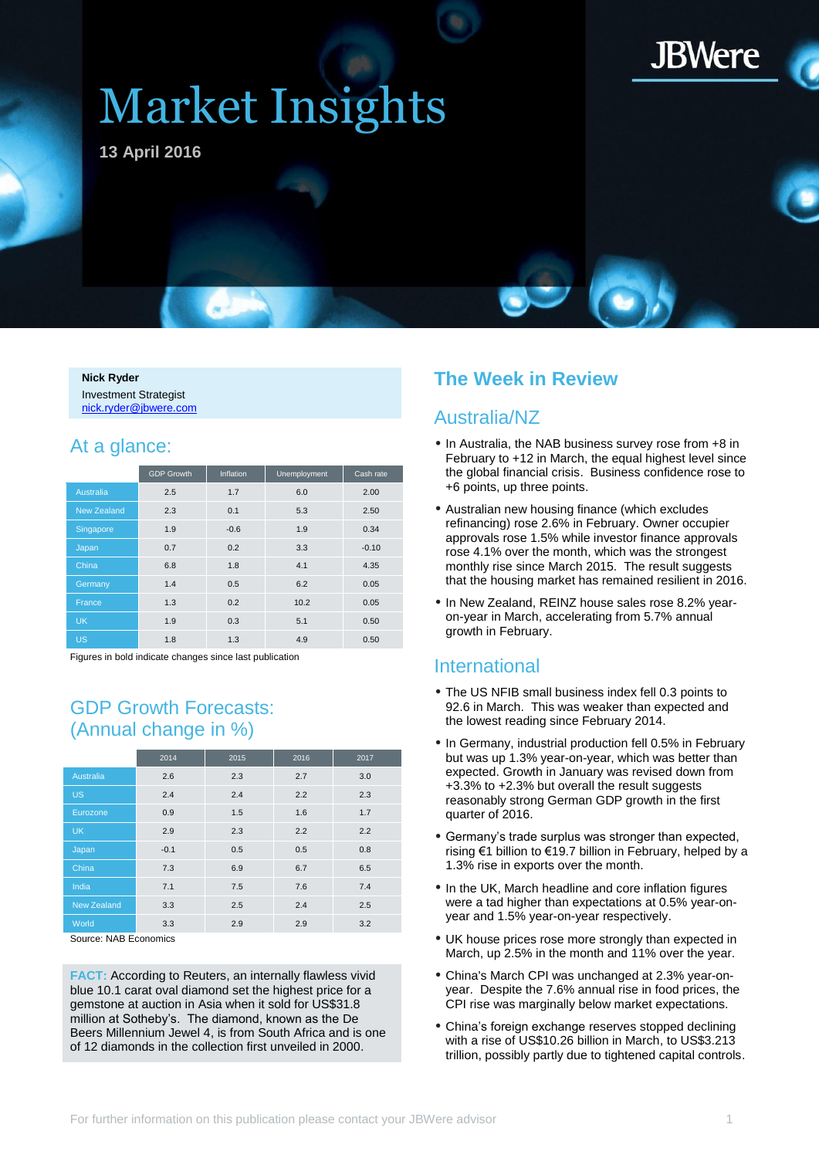

# Market Insights

**13 April 2016**

**Nick Ryder** Investment Strategist [nick.ryder@jbwere.com](mailto:nick.ryder@jbwere.com)

### At a glance:

|                    | <b>GDP Growth</b> | <b>Inflation</b> | Unemployment | Cash rate |
|--------------------|-------------------|------------------|--------------|-----------|
| Australia          | 2.5               | 1.7              | 6.0          | 2.00      |
| <b>New Zealand</b> | 2.3               | 0.1              | 5.3          | 2.50      |
| Singapore          | 1.9               | $-0.6$           | 1.9          | 0.34      |
| Japan              | 0.7               | 0.2              | 3.3          | $-0.10$   |
| China              | 6.8               | 1.8              | 4.1          | 4.35      |
| Germany            | 1.4               | 0.5              | 6.2          | 0.05      |
| France             | 1.3               | 0.2              | 10.2         | 0.05      |
| <b>UK</b>          | 1.9               | 0.3              | 5.1          | 0.50      |
| <b>US</b>          | 1.8               | 1.3              | 4.9          | 0.50      |

Figures in bold indicate changes since last publication

### GDP Growth Forecasts: (Annual change in %)

|                         | 2014   | 2015 | 2016 | 2017 |  |  |  |
|-------------------------|--------|------|------|------|--|--|--|
| <b>Australia</b>        | 2.6    | 2.3  | 2.7  | 3.0  |  |  |  |
| <b>US</b>               | 2.4    | 2.4  | 2.2  | 2.3  |  |  |  |
| Eurozone                | 0.9    | 1.5  | 1.6  | 1.7  |  |  |  |
| <b>UK</b>               | 2.9    | 2.3  | 2.2  | 2.2  |  |  |  |
| Japan                   | $-0.1$ | 0.5  | 0.5  | 0.8  |  |  |  |
| China                   | 7.3    | 6.9  | 6.7  | 6.5  |  |  |  |
| India                   | 7.1    | 7.5  | 7.6  | 7.4  |  |  |  |
| <b>New Zealand</b>      | 3.3    | 2.5  | 2.4  | 2.5  |  |  |  |
| World                   | 3.3    | 2.9  | 2.9  | 3.2  |  |  |  |
| Course: NIAD Facegorica |        |      |      |      |  |  |  |

Source: NAB Economics

**FACT:** According to Reuters, an internally flawless vivid blue 10.1 carat oval diamond set the highest price for a gemstone at auction in Asia when it sold for US\$31.8 million at Sotheby's. The diamond, known as the De Beers Millennium Jewel 4, is from South Africa and is one of 12 diamonds in the collection first unveiled in 2000.

### **The Week in Review**

### Australia/NZ

- In Australia, the NAB business survey rose from +8 in February to +12 in March, the equal highest level since the global financial crisis. Business confidence rose to +6 points, up three points.
- Australian new housing finance (which excludes refinancing) rose 2.6% in February. Owner occupier approvals rose 1.5% while investor finance approvals rose 4.1% over the month, which was the strongest monthly rise since March 2015. The result suggests that the housing market has remained resilient in 2016.
- In New Zealand, REINZ house sales rose 8.2% yearon-year in March, accelerating from 5.7% annual growth in February.

### International

- The US NFIB small business index fell 0.3 points to 92.6 in March. This was weaker than expected and the lowest reading since February 2014.
- In Germany, industrial production fell 0.5% in February but was up 1.3% year-on-year, which was better than expected. Growth in January was revised down from +3.3% to +2.3% but overall the result suggests reasonably strong German GDP growth in the first quarter of 2016.
- Germany's trade surplus was stronger than expected, rising €1 billion to €19.7 billion in February, helped by a 1.3% rise in exports over the month.
- In the UK, March headline and core inflation figures were a tad higher than expectations at 0.5% year-onyear and 1.5% year-on-year respectively.
- UK house prices rose more strongly than expected in March, up 2.5% in the month and 11% over the year.
- China's March CPI was unchanged at 2.3% year-onyear. Despite the 7.6% annual rise in food prices, the CPI rise was marginally below market expectations.
- China's foreign exchange reserves stopped declining with a rise of US\$10.26 billion in March, to US\$3.213 trillion, possibly partly due to tightened capital controls.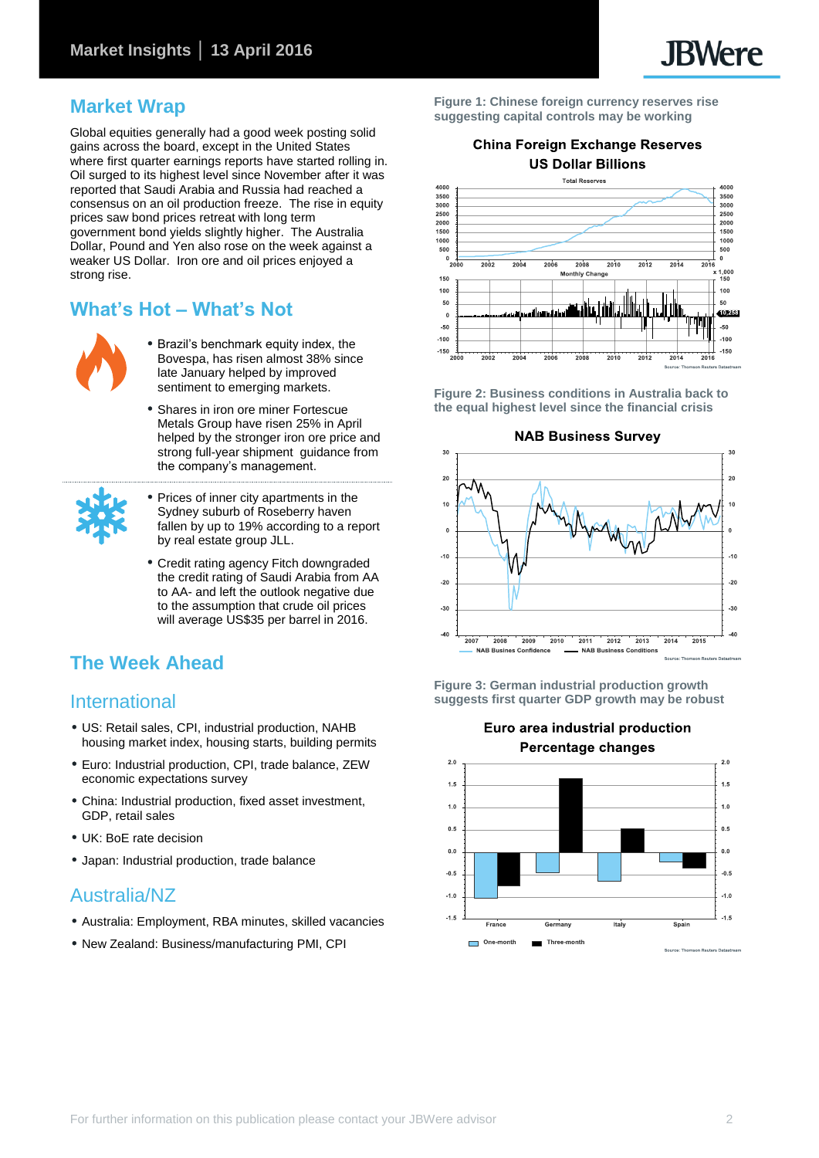### **Market Wrap**

Global equities generally had a good week posting solid gains across the board, except in the United States where first quarter earnings reports have started rolling in. Oil surged to its highest level since November after it was reported that Saudi Arabia and Russia had reached a consensus on an oil production freeze. The rise in equity prices saw bond prices retreat with long term government bond yields slightly higher. The Australia Dollar, Pound and Yen also rose on the week against a weaker US Dollar. Iron ore and oil prices enjoyed a strong rise.

### **What's Hot – What's Not**



- Brazil's benchmark equity index, the Bovespa, has risen almost 38% since late January helped by improved sentiment to emerging markets.
- Shares in iron ore miner Fortescue Metals Group have risen 25% in April helped by the stronger iron ore price and strong full-year shipment guidance from the company's management.



- Prices of inner city apartments in the Sydney suburb of Roseberry haven fallen by up to 19% according to a report by real estate group JLL.
- Credit rating agency Fitch downgraded the credit rating of Saudi Arabia from AA to AA- and left the outlook negative due to the assumption that crude oil prices will average US\$35 per barrel in 2016.

### **The Week Ahead**

### International

- US: Retail sales, CPI, industrial production, NAHB housing market index, housing starts, building permits
- Euro: Industrial production, CPI, trade balance, ZEW economic expectations survey
- China: Industrial production, fixed asset investment, GDP, retail sales
- UK: BoE rate decision
- Japan: Industrial production, trade balance

### Australia/NZ

- Australia: Employment, RBA minutes, skilled vacancies
- New Zealand: Business/manufacturing PMI, CPI

**Figure 1: Chinese foreign currency reserves rise suggesting capital controls may be working**

### **China Foreign Exchange Reserves US Dollar Billions**



**Figure 2: Business conditions in Australia back to the equal highest level since the financial crisis**



**Figure 3: German industrial production growth suggests first quarter GDP growth may be robust**

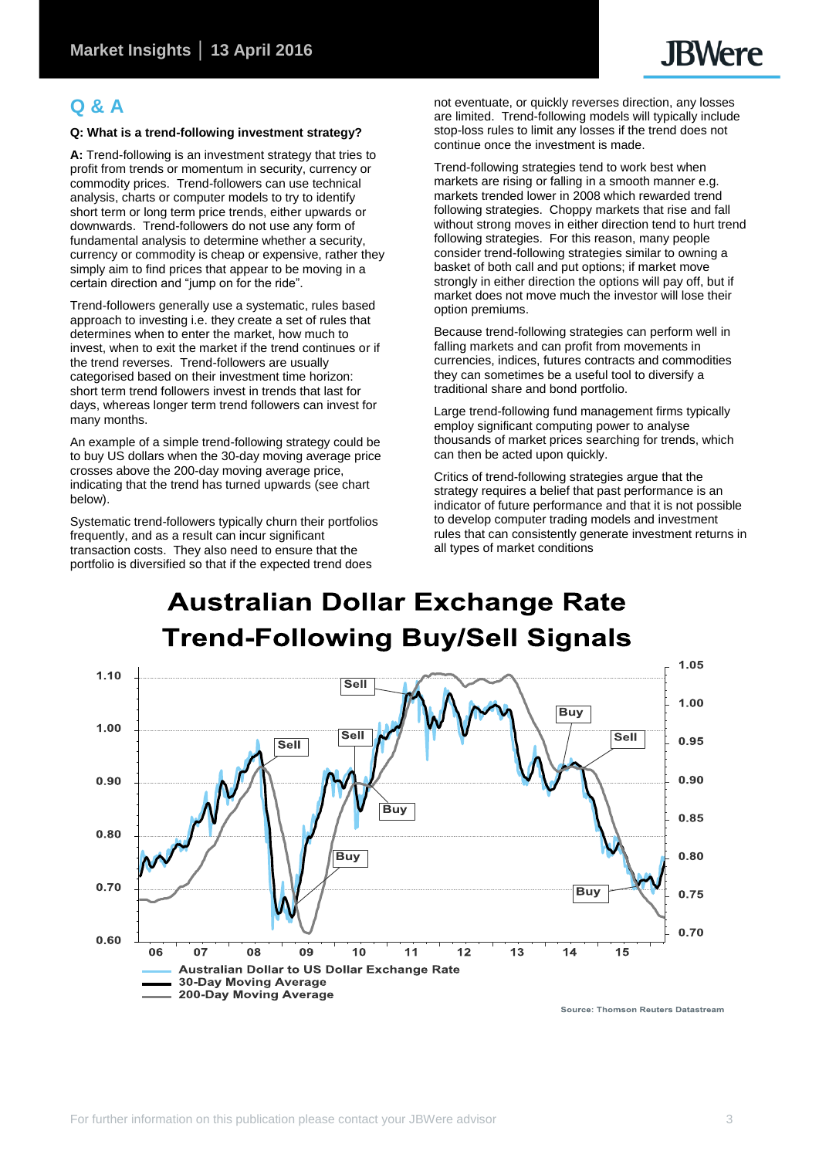### **Q & A**

### **Q: What is a trend-following investment strategy?**

**A:** Trend-following is an investment strategy that tries to profit from trends or momentum in security, currency or commodity prices. Trend-followers can use technical analysis, charts or computer models to try to identify short term or long term price trends, either upwards or downwards. Trend-followers do not use any form of fundamental analysis to determine whether a security, currency or commodity is cheap or expensive, rather they simply aim to find prices that appear to be moving in a certain direction and "jump on for the ride".

Trend-followers generally use a systematic, rules based approach to investing i.e. they create a set of rules that determines when to enter the market, how much to invest, when to exit the market if the trend continues or if the trend reverses. Trend-followers are usually categorised based on their investment time horizon: short term trend followers invest in trends that last for days, whereas longer term trend followers can invest for many months.

An example of a simple trend-following strategy could be to buy US dollars when the 30-day moving average price crosses above the 200-day moving average price, indicating that the trend has turned upwards (see chart below).

Systematic trend-followers typically churn their portfolios frequently, and as a result can incur significant transaction costs. They also need to ensure that the portfolio is diversified so that if the expected trend does

not eventuate, or quickly reverses direction, any losses are limited. Trend-following models will typically include stop-loss rules to limit any losses if the trend does not continue once the investment is made.

Trend-following strategies tend to work best when markets are rising or falling in a smooth manner e.g. markets trended lower in 2008 which rewarded trend following strategies. Choppy markets that rise and fall without strong moves in either direction tend to hurt trend following strategies. For this reason, many people consider trend-following strategies similar to owning a basket of both call and put options; if market move strongly in either direction the options will pay off, but if market does not move much the investor will lose their option premiums.

Because trend-following strategies can perform well in falling markets and can profit from movements in currencies, indices, futures contracts and commodities they can sometimes be a useful tool to diversify a traditional share and bond portfolio.

Large trend-following fund management firms typically employ significant computing power to analyse thousands of market prices searching for trends, which can then be acted upon quickly.

Critics of trend-following strategies argue that the strategy requires a belief that past performance is an indicator of future performance and that it is not possible to develop computer trading models and investment rules that can consistently generate investment returns in all types of market conditions

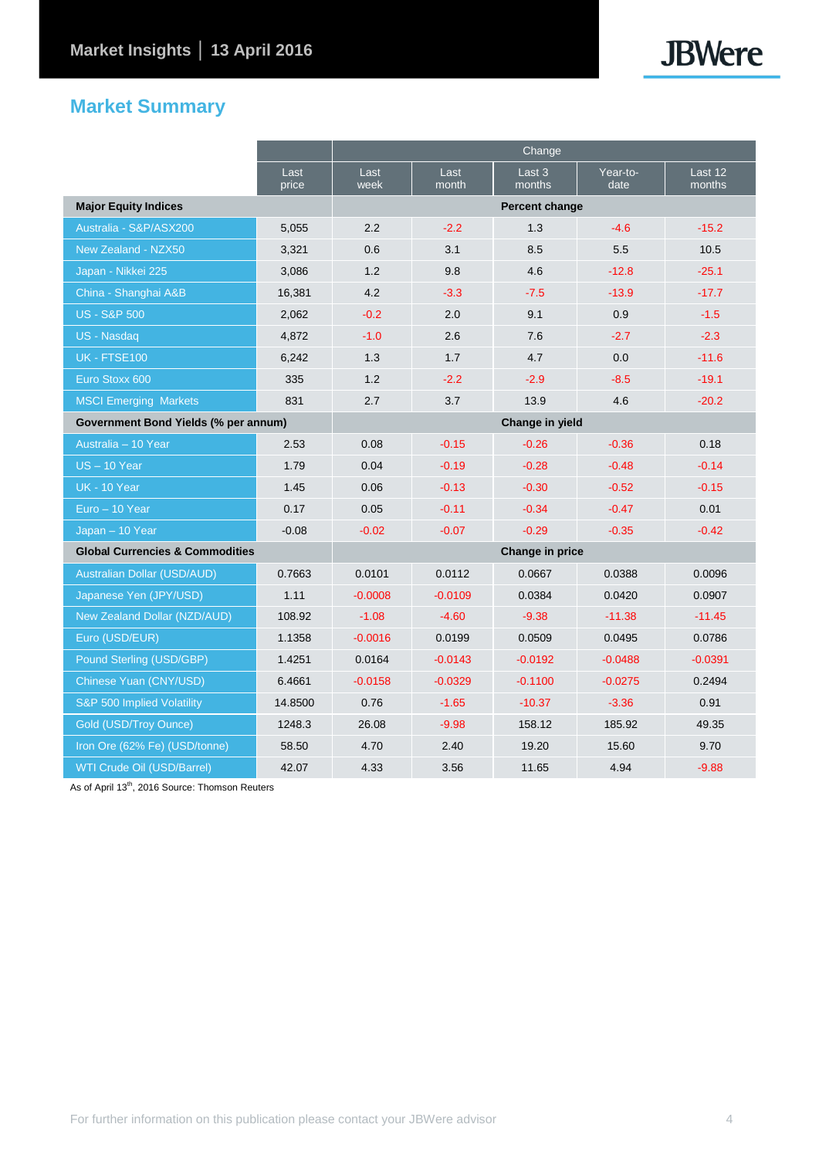## **JBWere**

### **Market Summary**

|                                            |               | Change          |               |                  |                  |                   |  |
|--------------------------------------------|---------------|-----------------|---------------|------------------|------------------|-------------------|--|
|                                            | Last<br>price | Last<br>week    | Last<br>month | Last 3<br>months | Year-to-<br>date | Last 12<br>months |  |
| <b>Major Equity Indices</b>                |               | Percent change  |               |                  |                  |                   |  |
| Australia - S&P/ASX200                     | 5,055         | 2.2             | $-2.2$        | 1.3              | $-4.6$           | $-15.2$           |  |
| New Zealand - NZX50                        | 3,321         | 0.6             | 3.1           | 8.5              | 5.5              | 10.5              |  |
| Japan - Nikkei 225                         | 3,086         | 1.2             | 9.8           | 4.6              | $-12.8$          | $-25.1$           |  |
| China - Shanghai A&B                       | 16,381        | 4.2             | $-3.3$        | $-7.5$           | $-13.9$          | $-17.7$           |  |
| <b>US - S&amp;P 500</b>                    | 2,062         | $-0.2$          | 2.0           | 9.1              | 0.9              | $-1.5$            |  |
| US - Nasdaq                                | 4,872         | $-1.0$          | 2.6           | 7.6              | $-2.7$           | $-2.3$            |  |
| <b>UK - FTSE100</b>                        | 6,242         | 1.3             | 1.7           | 4.7              | 0.0              | $-11.6$           |  |
| Euro Stoxx 600                             | 335           | 1.2             | $-2.2$        | $-2.9$           | $-8.5$           | $-19.1$           |  |
| <b>MSCI Emerging Markets</b>               | 831           | 2.7             | 3.7           | 13.9             | 4.6              | $-20.2$           |  |
| Government Bond Yields (% per annum)       |               | Change in yield |               |                  |                  |                   |  |
| Australia - 10 Year                        | 2.53          | 0.08            | $-0.15$       | $-0.26$          | $-0.36$          | 0.18              |  |
| $US - 10$ Year                             | 1.79          | 0.04            | $-0.19$       | $-0.28$          | $-0.48$          | $-0.14$           |  |
| <b>UK - 10 Year</b>                        | 1.45          | 0.06            | $-0.13$       | $-0.30$          | $-0.52$          | $-0.15$           |  |
| Euro - 10 Year                             | 0.17          | 0.05            | $-0.11$       | $-0.34$          | $-0.47$          | 0.01              |  |
| Japan - 10 Year                            | $-0.08$       | $-0.02$         | $-0.07$       | $-0.29$          | $-0.35$          | $-0.42$           |  |
| <b>Global Currencies &amp; Commodities</b> |               | Change in price |               |                  |                  |                   |  |
| <b>Australian Dollar (USD/AUD)</b>         | 0.7663        | 0.0101          | 0.0112        | 0.0667           | 0.0388           | 0.0096            |  |
| Japanese Yen (JPY/USD)                     | 1.11          | $-0.0008$       | $-0.0109$     | 0.0384           | 0.0420           | 0.0907            |  |
| New Zealand Dollar (NZD/AUD)               | 108.92        | $-1.08$         | $-4.60$       | $-9.38$          | $-11.38$         | $-11.45$          |  |
| Euro (USD/EUR)                             | 1.1358        | $-0.0016$       | 0.0199        | 0.0509           | 0.0495           | 0.0786            |  |
| Pound Sterling (USD/GBP)                   | 1.4251        | 0.0164          | $-0.0143$     | $-0.0192$        | $-0.0488$        | $-0.0391$         |  |
| Chinese Yuan (CNY/USD)                     | 6.4661        | $-0.0158$       | $-0.0329$     | $-0.1100$        | $-0.0275$        | 0.2494            |  |
| S&P 500 Implied Volatility                 | 14.8500       | 0.76            | $-1.65$       | $-10.37$         | $-3.36$          | 0.91              |  |
| Gold (USD/Troy Ounce)                      | 1248.3        | 26.08           | $-9.98$       | 158.12           | 185.92           | 49.35             |  |
| Iron Ore (62% Fe) (USD/tonne)              | 58.50         | 4.70            | 2.40          | 19.20            | 15.60            | 9.70              |  |
| WTI Crude Oil (USD/Barrel)                 | 42.07         | 4.33            | 3.56          | 11.65            | 4.94             | $-9.88$           |  |

As of April 13<sup>th</sup>, 2016 Source: Thomson Reuters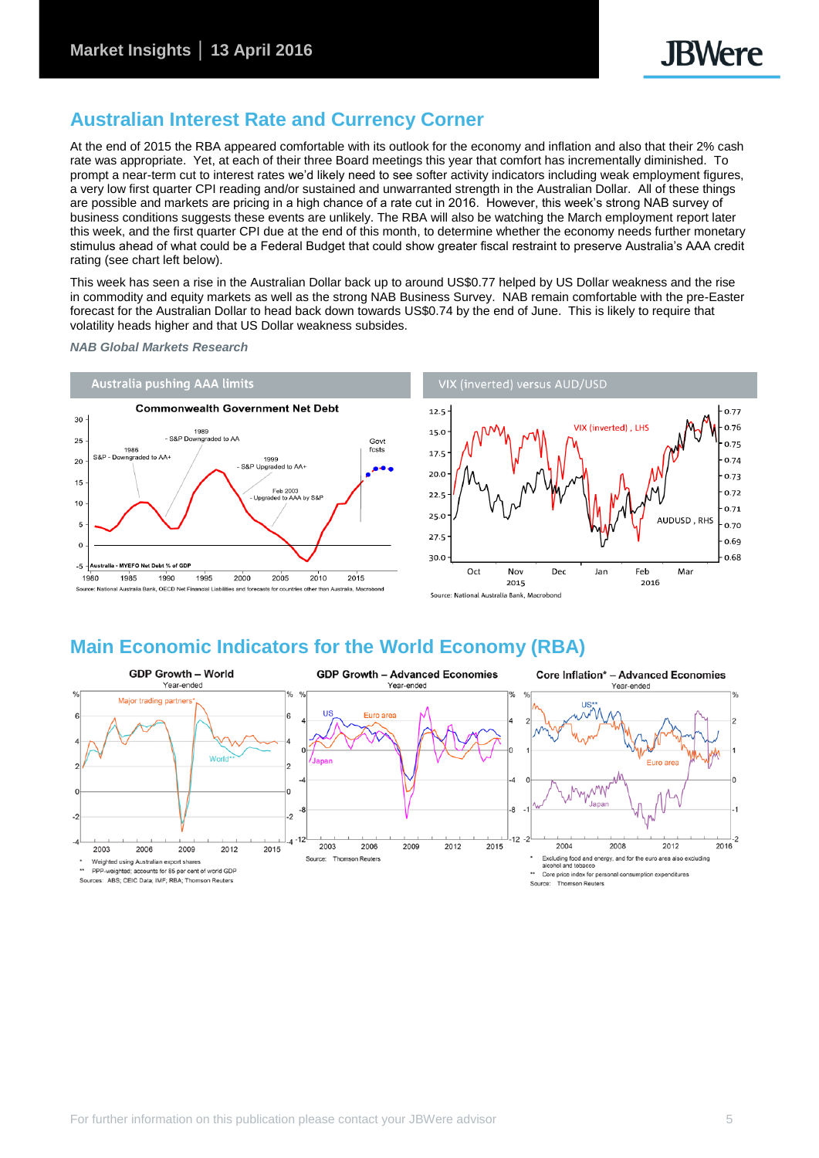0.77

0.76

0.75

0.74

 $0.73$ 

 $0.72$ 

0.71

0.70

0.69

0.68

### **Australian Interest Rate and Currency Corner**

At the end of 2015 the RBA appeared comfortable with its outlook for the economy and inflation and also that their 2% cash rate was appropriate. Yet, at each of their three Board meetings this year that comfort has incrementally diminished. To prompt a near-term cut to interest rates we'd likely need to see softer activity indicators including weak employment figures, a very low first quarter CPI reading and/or sustained and unwarranted strength in the Australian Dollar. All of these things are possible and markets are pricing in a high chance of a rate cut in 2016. However, this week's strong NAB survey of business conditions suggests these events are unlikely. The RBA will also be watching the March employment report later this week, and the first quarter CPI due at the end of this month, to determine whether the economy needs further monetary stimulus ahead of what could be a Federal Budget that could show greater fiscal restraint to preserve Australia's AAA credit rating (see chart left below).

This week has seen a rise in the Australian Dollar back up to around US\$0.77 helped by US Dollar weakness and the rise in commodity and equity markets as well as the strong NAB Business Survey. NAB remain comfortable with the pre-Easter forecast for the Australian Dollar to head back down towards US\$0.74 by the end of June. This is likely to require that volatility heads higher and that US Dollar weakness subsides.

*NAB Global Markets Research*



### **Main Economic Indicators for the World Economy (RBA)**